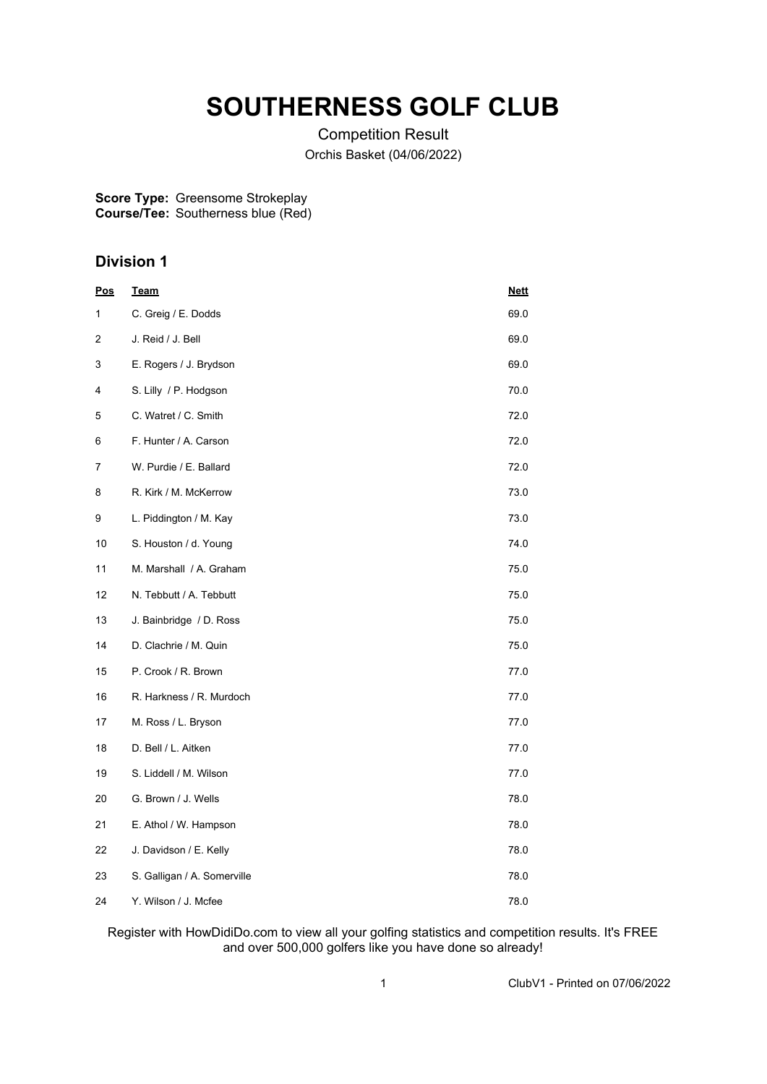# **SOUTHERNESS GOLF CLUB**

Competition Result Orchis Basket (04/06/2022)

#### **Score Type: Course/Tee:** Greensome Strokeplay Southerness blue (Red)

## **Division 1**

| <u>Pos</u> | <u>Team</u>                 | <u>Nett</u> |
|------------|-----------------------------|-------------|
| 1          | C. Greig / E. Dodds         | 69.0        |
| 2          | J. Reid / J. Bell           | 69.0        |
| 3          | E. Rogers / J. Brydson      | 69.0        |
| 4          | S. Lilly / P. Hodgson       | 70.0        |
| 5          | C. Watret / C. Smith        | 72.0        |
| 6          | F. Hunter / A. Carson       | 72.0        |
| 7          | W. Purdie / E. Ballard      | 72.0        |
| 8          | R. Kirk / M. McKerrow       | 73.0        |
| 9          | L. Piddington / M. Kay      | 73.0        |
| 10         | S. Houston / d. Young       | 74.0        |
| 11         | M. Marshall / A. Graham     | 75.0        |
| 12         | N. Tebbutt / A. Tebbutt     | 75.0        |
| 13         | J. Bainbridge / D. Ross     | 75.0        |
| 14         | D. Clachrie / M. Quin       | 75.0        |
| 15         | P. Crook / R. Brown         | 77.0        |
| 16         | R. Harkness / R. Murdoch    | 77.0        |
| 17         | M. Ross / L. Bryson         | 77.0        |
| 18         | D. Bell / L. Aitken         | 77.0        |
| 19         | S. Liddell / M. Wilson      | 77.0        |
| 20         | G. Brown / J. Wells         | 78.0        |
| 21         | E. Athol / W. Hampson       | 78.0        |
| 22         | J. Davidson / E. Kelly      | 78.0        |
| 23         | S. Galligan / A. Somerville | 78.0        |
| 24         | Y. Wilson / J. Mcfee        | 78.0        |

Register with HowDidiDo.com to view all your golfing statistics and competition results. It's FREE and over 500,000 golfers like you have done so already!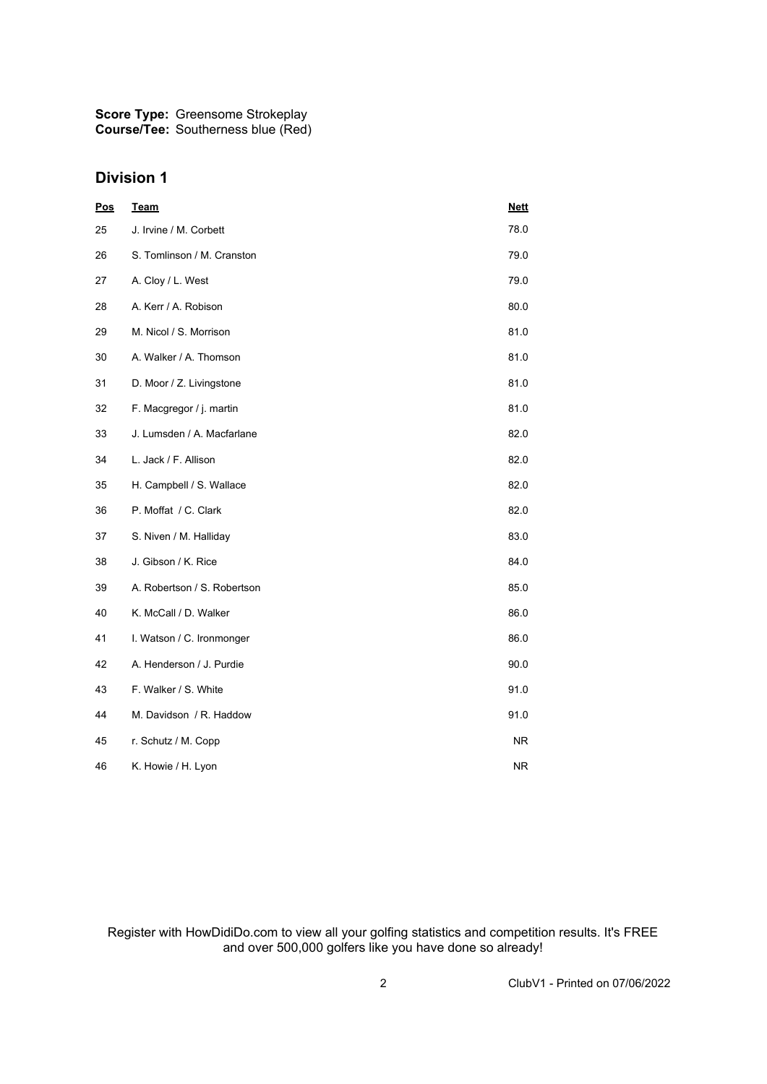**Score Type: Course/Tee:** Greensome Strokeplay Southerness blue (Red)

### **Division 1**

| Pos | <b>Team</b>                 | <b>Nett</b> |
|-----|-----------------------------|-------------|
| 25  | J. Irvine / M. Corbett      | 78.0        |
| 26  | S. Tomlinson / M. Cranston  | 79.0        |
| 27  | A. Cloy / L. West           | 79.0        |
| 28  | A. Kerr / A. Robison        | 80.0        |
| 29  | M. Nicol / S. Morrison      | 81.0        |
| 30  | A. Walker / A. Thomson      | 81.0        |
| 31  | D. Moor / Z. Livingstone    | 81.0        |
| 32  | F. Macgregor / j. martin    | 81.0        |
| 33  | J. Lumsden / A. Macfarlane  | 82.0        |
| 34  | L. Jack / F. Allison        | 82.0        |
| 35  | H. Campbell / S. Wallace    | 82.0        |
| 36  | P. Moffat / C. Clark        | 82.0        |
| 37  | S. Niven / M. Halliday      | 83.0        |
| 38  | J. Gibson / K. Rice         | 84.0        |
| 39  | A. Robertson / S. Robertson | 85.0        |
| 40  | K. McCall / D. Walker       | 86.0        |
| 41  | I. Watson / C. Ironmonger   | 86.0        |
| 42  | A. Henderson / J. Purdie    | 90.0        |
| 43  | F. Walker / S. White        | 91.0        |
| 44  | M. Davidson / R. Haddow     | 91.0        |
| 45  | r. Schutz / M. Copp         | NR.         |
| 46  | K. Howie / H. Lyon          | <b>NR</b>   |

Register with HowDidiDo.com to view all your golfing statistics and competition results. It's FREE and over 500,000 golfers like you have done so already!